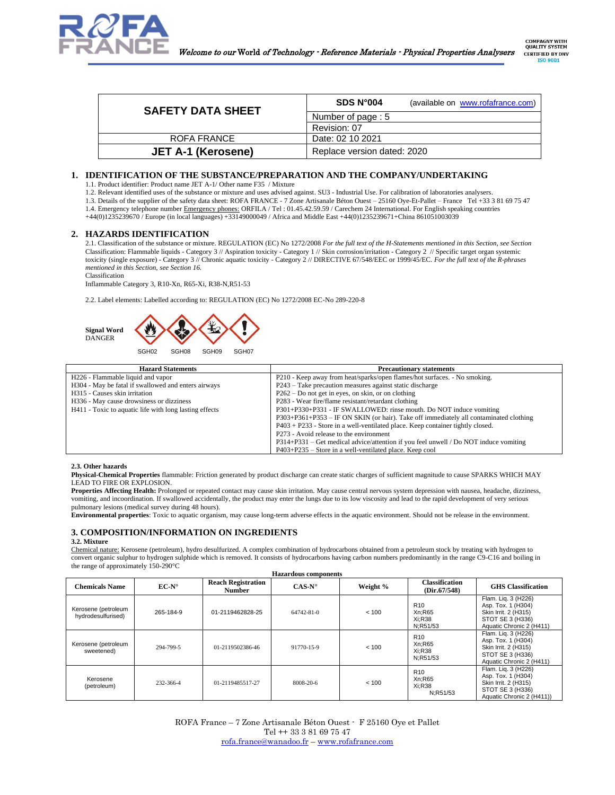

| <b>SAFETY DATA SHEET</b> | SDS N°004         | (available on www.rofafrance.com) |
|--------------------------|-------------------|-----------------------------------|
|                          | Number of page: 5 |                                   |
|                          | Revision: 07      |                                   |
| ROFA FRANCE              | Date: 02 10 2021  |                                   |
|                          |                   |                                   |

# **1. IDENTIFICATION OF THE SUBSTANCE/PREPARATION AND THE COMPANY/UNDERTAKING**

1.1. Product identifier: Product name JET A-1/ Other name F35 / Mixture

1.2. Relevant identified uses of the substance or mixture and uses advised against. SU3 - Industrial Use. For calibration of laboratories analysers. 1.3. Details of the supplier of the safety data sheet: ROFA FRANCE - 7 Zone Artisanale Béton Ouest – 25160 Oye-Et-Pallet – France Tel +33 3 81 69 75 47

1.4. Emergency telephone number Emergency phones: ORFILA / Tel : 01.45.42.59.59 / Carechem 24 International. For English speaking countries

**JET A-1 (Kerosene)** Replace version dated: 2020

+44(0)1235239670 / Europe (in local languages) +33149000049 / Africa and Middle East +44(0)1235239671+China 861051003039

# **2. HAZARDS IDENTIFICATION**

2.1. Classification of the substance or mixture. REGULATION (EC) No 1272/2008 *For the full text of the H-Statements mentioned in this Section, see Section*  Classification: Flammable liquids - Category 3 // Aspiration toxicity - Category 1 // Skin corrosion/irritation - Category 2 // Specific target organ systemic toxicity (single exposure) - Category 3 // Chronic aquatic toxicity - Category 2 // DIRECTIVE 67/548/EEC or 1999/45/EC. *For the full text of the R-phrases mentioned in this Section, see Section 16.*

Classification

Inflammable Category 3, R10-Xn, R65-Xi, R38-N,R51-53

2.2. Label elements: Labelled according to: REGULATION (EC) No 1272/2008 EC-No 289-220-8



| <b>Hazard Statements</b>                               | <b>Precautionary statements</b>                                                       |
|--------------------------------------------------------|---------------------------------------------------------------------------------------|
| H <sub>226</sub> - Flammable liquid and vapor          | P210 - Keep away from heat/sparks/open flames/hot surfaces. - No smoking.             |
| H304 - May be fatal if swallowed and enters airways    | P243 – Take precaution measures against static discharge                              |
| H315 - Causes skin irritation                          | $P262 - Do$ not get in eyes, on skin, or on clothing                                  |
| H336 - May cause drowsiness or dizziness               | P283 - Wear fire/flame resistant/retardant clothing                                   |
| H411 - Toxic to aquatic life with long lasting effects | P301+P330+P331 - IF SWALLOWED: rinse mouth. Do NOT induce vomiting                    |
|                                                        | P303+P361+P353 – IF ON SKIN (or hair). Take off immediately all contaminated clothing |
|                                                        | $P403 + P233$ - Store in a well-ventilated place. Keep container tightly closed.      |
|                                                        | P273 - Avoid release to the environment                                               |
|                                                        | P314+P331 – Get medical advice/attention if you feel unwell / Do NOT induce vomiting  |
|                                                        | $P403+P235$ – Store in a well-ventilated place. Keep cool                             |

### **2.3. Other hazards**

**Physical-Chemical Properties** flammable: Friction generated by product discharge can create static charges of sufficient magnitude to cause SPARKS WHICH MAY LEAD TO FIRE OR EXPLOSION.

**Properties Affecting Health:** Prolonged or repeated contact may cause skin irritation. May cause central nervous system depression with nausea, headache, dizziness, vomiting, and incoordination. If swallowed accidentally, the product may enter the lungs due to its low viscosity and lead to the rapid development of very serious pulmonary lesions (medical survey during 48 hours).

**Environmental properties**: Toxic to aquatic organism, may cause long-term adverse effects in the aquatic environment. Should not be release in the environment.

# **3. COMPOSITION/INFORMATION ON INGREDIENTS**

### **3.2. Mixture**

Chemical nature: Kerosene (petroleum), hydro desulfurized. A complex combination of hydrocarbons obtained from a petroleum stock by treating with hydrogen to convert organic sulphur to hydrogen sulphide which is removed. It consists of hydrocarbons having carbon numbers predominantly in the range C9-C16 and boiling in the range of approximately 150-290°C

| <b>Hazardous</b> components               |                |                                            |                  |          |                                                 |                                                                                                                    |
|-------------------------------------------|----------------|--------------------------------------------|------------------|----------|-------------------------------------------------|--------------------------------------------------------------------------------------------------------------------|
| <b>Chemicals Name</b>                     | $EC-N^{\circ}$ | <b>Reach Registration</b><br><b>Number</b> | $CAS-N^{\circ}$  | Weight % | <b>Classification</b><br>(Dir.67/548)           | <b>GHS</b> Classification                                                                                          |
| Kerosene (petroleum<br>hydrodesulfurised) | 265-184-9      | 01-2119462828-25                           | $64742 - 81 - 0$ | < 100    | R <sub>10</sub><br>Xn:R65<br>Xi:R38<br>N:R51/53 | Flam. Lig. 3 (H226)<br>Asp. Tox. 1 (H304)<br>Skin Irrit. 2 (H315)<br>STOT SE 3 (H336)<br>Aquatic Chronic 2 (H411)  |
| Kerosene (petroleum<br>sweetened)         | 294-799-5      | 01-2119502386-46                           | 91770-15-9       | < 100    | R <sub>10</sub><br>Xn:R65<br>Xi:R38<br>N:R51/53 | Flam. Liq. 3 (H226)<br>Asp. Tox. 1 (H304)<br>Skin Irrit. 2 (H315)<br>STOT SE 3 (H336)<br>Aquatic Chronic 2 (H411)  |
| Kerosene<br>(petroleum)                   | 232-366-4      | 01-2119485517-27                           | 8008-20-6        | < 100    | R <sub>10</sub><br>Xn:R65<br>Xi:R38<br>N:R51/53 | Flam. Liq. 3 (H226)<br>Asp. Tox. 1 (H304)<br>Skin Irrit. 2 (H315)<br>STOT SE 3 (H336)<br>Aquatic Chronic 2 (H411)) |

ROFA France – 7 Zone Artisanale Béton Ouest - F 25160 Oye et Pallet Tel ++ 33 3 81 69 75 47 [rofa.france@wanadoo.fr](mailto:rofa.france@wanadoo.fr) – [www.rofafrance.com](http://www.rofafrance.com/)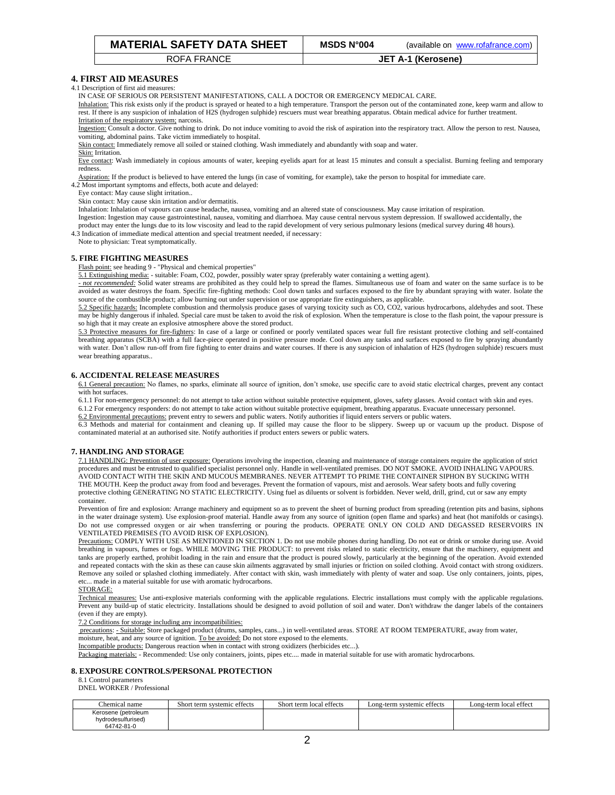| <b>MATERIAL SAFETY DATA SHEET</b> | <b>MSDS N°004</b> | (available on www.rofafrance.com) |
|-----------------------------------|-------------------|-----------------------------------|
|-----------------------------------|-------------------|-----------------------------------|

# **4. FIRST AID MEASURES**

4.1 Description of first aid measures:

IN CASE OF SERIOUS OR PERSISTENT MANIFESTATIONS, CALL A DOCTOR OR EMERGENCY MEDICAL CARE.

Inhalation: This risk exists only if the product is sprayed or heated to a high temperature. Transport the person out of the contaminated zone, keep warm and allow to rest. If there is any suspicion of inhalation of H2S (hydrogen sulphide) rescuers must wear breathing apparatus. Obtain medical advice for further treatment. Irritation of the respiratory system; narcosis.

Ingestion: Consult a doctor. Give nothing to drink. Do not induce vomiting to avoid the risk of aspiration into the respiratory tract. Allow the person to rest. Nausea, vomiting, abdominal pains. Take victim immediately to hospital.

Skin contact: Immediately remove all soiled or stained clothing. Wash immediately and abundantly with soap and water.

Skin: Irritation.

Eye contact: Wash immediately in copious amounts of water, keeping eyelids apart for at least 15 minutes and consult a specialist. Burning feeling and temporary redness.

Aspiration: If the product is believed to have entered the lungs (in case of vomiting, for example), take the person to hospital for immediate care. 4.2 Most important symptoms and effects, both acute and delayed:

Eye contact: May cause slight irritation..

Skin contact: May cause skin irritation and/or dermatitis.

Inhalation: Inhalation of vapours can cause headache, nausea, vomiting and an altered state of consciousness. May cause irritation of respiration.

Ingestion: Ingestion may cause gastrointestinal, nausea, vomiting and diarrhoea. May cause central nervous system depression. If swallowed accidentally, the product may enter the lungs due to its low viscosity and lead to the rapid development of very serious pulmonary lesions (medical survey during 48 hours).

4.3 Indication of immediate medical attention and special treatment needed, if necessary:

Note to physician: Treat symptomatically.

# **5. FIRE FIGHTING MEASURES**

Flash point: see heading 9 - "Physical and chemical properties"

5.1 Extinguishing media: - suitable: Foam, CO2, powder, possibly water spray (preferably water containing a wetting agent).

*- not recommended:* Solid water streams are prohibited as they could help to spread the flames. Simultaneous use of foam and water on the same surface is to be avoided as water destroys the foam. Specific fire-fighting methods: Cool down tanks and surfaces exposed to the fire by abundant spraying with water. Isolate the source of the combustible product; allow burning out under supervision or use appropriate fire extinguishers, as applicable.

5.2 Specific hazards: Incomplete combustion and thermolysis produce gases of varying toxicity such as CO, CO2, various hydrocarbons, aldehydes and soot. These may be highly dangerous if inhaled. Special care must be taken to avoid the risk of explosion. When the temperature is close to the flash point, the vapour pressure is so high that it may create an explosive atmosphere above the stored product.

5.3 Protective measures for fire-fighters: In case of a large or confined or poorly ventilated spaces wear full fire resistant protective clothing and self-contained breathing apparatus (SCBA) with a full face-piece operated in positive pressure mode. Cool down any tanks and surfaces exposed to fire by spraying abundantly with water. Don't allow run-off from fire fighting to enter drains and water courses. If there is any suspicion of inhalation of H2S (hydrogen sulphide) rescuers must wear breathing apparatus..

# **6. ACCIDENTAL RELEASE MEASURES**

6.1 General precaution: No flames, no sparks, eliminate all source of ignition, don't smoke, use specific care to avoid static electrical charges, prevent any contact with hot surfaces

6.1.1 For non-emergency personnel: do not attempt to take action without suitable protective equipment, gloves, safety glasses. Avoid contact with skin and eyes. 6.1.2 For emergency responders: do not attempt to take action without suitable protective equipment, breathing apparatus. Evacuate unnecessary personnel.

6.2 Environmental precautions: prevent entry to sewers and public waters. Notify authorities if liquid enters servers or public waters.

6.3 Methods and material for containment and cleaning up. If spilled may cause the floor to be slippery. Sweep up or vacuum up the product. Dispose of contaminated material at an authorised site. Notify authorities if product enters sewers or public waters.

# **7. HANDLING AND STORAGE**

7.1 HANDLING: Prevention of user exposure: Operations involving the inspection, cleaning and maintenance of storage containers require the application of strict procedures and must be entrusted to qualified specialist personnel only. Handle in well-ventilated premises. DO NOT SMOKE. AVOID INHALING VAPOURS. AVOID CONTACT WITH THE SKIN AND MUCOUS MEMBRANES. NEVER ATTEMPT TO PRIME THE CONTAINER SIPHON BY SUCKING WITH THE MOUTH. Keep the product away from food and beverages. Prevent the formation of vapours, mist and aerosols. Wear safety boots and fully covering protective clothing GENERATING NO STATIC ELECTRICITY. Using fuel as diluents or solvent is forbidden. Never weld, drill, grind, cut or saw any empty container.

Prevention of fire and explosion: Arrange machinery and equipment so as to prevent the sheet of burning product from spreading (retention pits and basins, siphons in the water drainage system). Use explosion-proof material. Handle away from any source of ignition (open flame and sparks) and heat (hot manifolds or casings). Do not use compressed oxygen or air when transferring or pouring the products. OPERATE ONLY ON COLD AND DEGASSED RESERVOIRS IN VENTILATED PREMISES (TO AVOID RISK OF EXPLOSION).

Precautions: COMPLY WITH USE AS MENTIONED IN SECTION 1. Do not use mobile phones during handling. Do not eat or drink or smoke during use. Avoid breathing in vapours, fumes or fogs. WHILE MOVING THE PRODUCT: to prevent risks related to static electricity, ensure that the machinery, equipment and tanks are properly earthed, prohibit loading in the rain and ensure that the product is poured slowly, particularly at the beginning of the operation. Avoid extended and repeated contacts with the skin as these can cause skin ailments aggravated by small injuries or friction on soiled clothing. Avoid contact with strong oxidizers. Remove any soiled or splashed clothing immediately. After contact with skin, wash immediately with plenty of water and soap. Use only containers, joints, pipes, etc... made in a material suitable for use with aromatic hydrocarbons.

#### STORAGE:

Technical measures: Use anti-explosive materials conforming with the applicable regulations. Electric installations must comply with the applicable regulations. Prevent any build-up of static electricity. Installations should be designed to avoid pollution of soil and water. Don't withdraw the danger labels of the containers (even if they are empty).

7.2 Conditions for storage including any incompatibilities:

precautions: - Suitable: Store packaged product (drums, samples, cans...) in well-ventilated areas. STORE AT ROOM TEMPERATURE, away from water,

moisture, heat, and any source of ignition. To be avoided: Do not store exposed to the elements.

Incompatible products: Dangerous reaction when in contact with strong oxidizers (herbicides etc...).

Packaging materials: - Recommended: Use only containers, joints, pipes etc.... made in material suitable for use with aromatic hydrocarbons.

#### **8. EXPOSURE CONTROLS/PERSONAL PROTECTION**

8.1 Control parameters

DNEL WORKER / Professional

| Chemical<br>l name  | Short term systemic effects | Short term local effects | Long-term systemic effects | Long-term local effect |
|---------------------|-----------------------------|--------------------------|----------------------------|------------------------|
| Kerosene (petroleum |                             |                          |                            |                        |
| hydrodesulfurised)  |                             |                          |                            |                        |
| 64742-81-0          |                             |                          |                            |                        |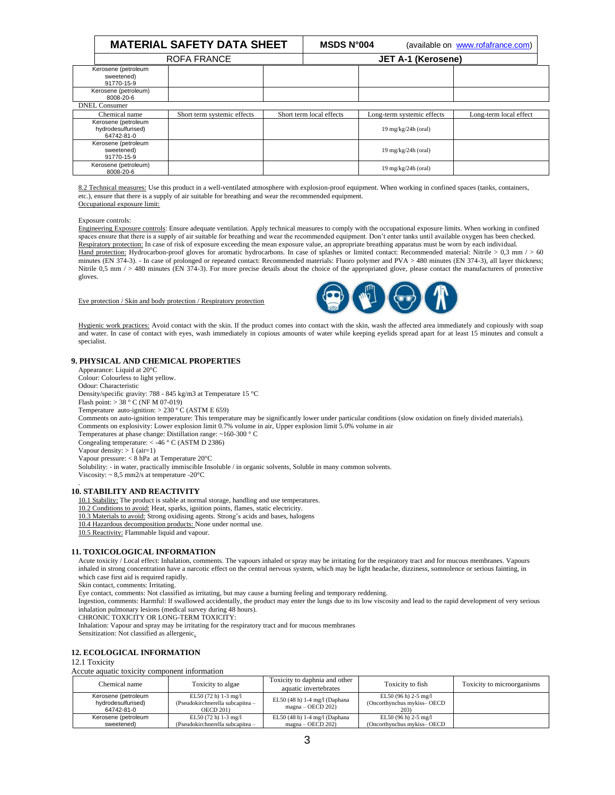|                                                         | <b>MATERIAL SAFETY DATA SHEET</b> |  | <b>MSDS N°004</b>        |                            | (available on www.rofafrance.com) |  |
|---------------------------------------------------------|-----------------------------------|--|--------------------------|----------------------------|-----------------------------------|--|
| ROFA FRANCE                                             |                                   |  | JET A-1 (Kerosene)       |                            |                                   |  |
| Kerosene (petroleum<br>sweetened)<br>91770-15-9         |                                   |  |                          |                            |                                   |  |
| Kerosene (petroleum)<br>8008-20-6                       |                                   |  |                          |                            |                                   |  |
| <b>DNEL</b> Consumer                                    |                                   |  |                          |                            |                                   |  |
| Chemical name                                           | Short term systemic effects       |  | Short term local effects | Long-term systemic effects | Long-term local effect            |  |
| Kerosene (petroleum<br>hydrodesulfurised)<br>64742-81-0 |                                   |  |                          | 19 mg/kg/24h (oral)        |                                   |  |
| Kerosene (petroleum<br>sweetened)<br>91770-15-9         |                                   |  |                          | 19 mg/kg/24h (oral)        |                                   |  |
| Kerosene (petroleum)<br>8008-20-6                       |                                   |  |                          | 19 mg/kg/24h (oral)        |                                   |  |

8.2 Technical measures: Use this product in a well-ventilated atmosphere with explosion-proof equipment. When working in confined spaces (tanks, containers, etc.), ensure that there is a supply of air suitable for breathing and wear the recommended equipment. Occupational exposure limit:

#### Exposure controls:

Engineering Exposure controls: Ensure adequate ventilation. Apply technical measures to comply with the occupational exposure limits. When working in confined spaces ensure that there is a supply of air suitable for breathing and wear the recommended equipment. Don't enter tanks until available oxygen has been checked. Respiratory protection: In case of risk of exposure exceeding the mean exposure value, an appropriate breathing apparatus must be worn by each individual. Hand protection: Hydrocarbon-proof gloves for aromatic hydrocarbons. In case of splashes or limited contact: Recommended material: Nitrile > 0,3 mm / > 60 minutes (EN 374-3). - In case of prolonged or repeated contact: Recommended materials: Fluoro polymer and PVA > 480 minutes (EN 374-3), all layer thickness; Nitrile 0,5 mm / > 480 minutes (EN 374-3). For more precise details about the choice of the appropriated glove, please contact the manufacturers of protective gloves.

Eye protection / Skin and body protection / Respiratory protection



Hygienic work practices: Avoid contact with the skin. If the product comes into contact with the skin, wash the affected area immediately and copiously with soap and water. In case of contact with eyes, wash immediately in copious amounts of water while keeping eyelids spread apart for at least 15 minutes and consult a specialist.

### **9. PHYSICAL AND CHEMICAL PROPERTIES**

Appearance: Liquid at 20°C Colour: Colourless to light yellow. Odour: Characteristic Density/specific gravity: 788 - 845 kg/m3 at Temperature 15 °C Flash point: > 38 ° C (NF M 07-019) Temperature auto-ignition: > 230 º C (ASTM E 659) Comments on auto-ignition temperature: This temperature may be significantly lower under particular conditions (slow oxidation on finely divided materials). Comments on explosivity: Lower explosion limit 0.7% volume in air, Upper explosion limit 5.0% volume in air Temperatures at phase change: Distillation range: ~160-300 ° C Congealing temperature: < -46 ° C (ASTM D 2386) Vapour density:  $> 1$  (air=1) Vapour pressure: < 8 hPa at Temperature 20°C Solubility: - in water, practically immiscible Insoluble / in organic solvents, Soluble in many common solvents. Viscosity:  $\sim 8.5$  mm2/s at temperature -20 $^{\circ}$ C . **10. STABILITY AND REACTIVITY**

10.1 Stability: The product is stable at normal storage, handling and use temperatures. 10.2 Conditions to avoid: Heat, sparks, ignition points, flames, static electricity. 10.3 Materials to avoid: Strong oxidising agents. Strong's acids and bases, halogens 10.4 Hazardous decomposition products: None under normal use. 10.5 Reactivity: Flammable liquid and vapour.

# **11. TOXICOLOGICAL INFORMATION**

Acute toxicity / Local effect: Inhalation, comments. The vapours inhaled or spray may be irritating for the respiratory tract and for mucous membranes. Vapours inhaled in strong concentration have a narcotic effect on the central nervous system, which may be light headache, dizziness, somnolence or serious fainting, in which case first aid is required rapidly.

Skin contact, comments: Irritating.

Eye contact, comments: Not classified as irritating, but may cause a burning feeling and temporary reddening.

Ingestion, comments: Harmful: If swallowed accidentally, the product may enter the lungs due to its low viscosity and lead to the rapid development of very serious inhalation pulmonary lesions (medical survey during 48 hours).

CHRONIC TOXICITY OR LONG-TERM TOXICITY:

Inhalation: Vapour and spray may be irritating for the respiratory tract and for mucous membranes

Sensitization: Not classified as allergenic.

#### **12. ECOLOGICAL INFORMATION**

12.1 Toxicity

#### Accute aquatic toxicity component information

| Chemical name                                           | Toxicity to algae                                                              | Toxicity to daphnia and other<br>aquatic invertebrates | Toxicity to fish                                          | Toxicity to microorganisms |
|---------------------------------------------------------|--------------------------------------------------------------------------------|--------------------------------------------------------|-----------------------------------------------------------|----------------------------|
| Kerosene (petroleum<br>hydrodesulfurised)<br>64742-81-0 | EL50 $(72 h)$ 1-3 mg/l<br>(Pseudokirchnerella subcapitea -<br><b>OECD 201)</b> | EL50 $(48 h)$ 1-4 mg/l (Daphana<br>$magna - OECD$ 202) | EL50 (96 h) 2-5 mg/l<br>(Oncorthynchus mykiss-OECD<br>203 |                            |
| Kerosene (petroleum<br>sweetened)                       | EL50 (72 h) 1-3 mg/l<br>(Pseudokirchnerella subcapitea -                       | EL50 (48 h) 1-4 mg/l (Daphana<br>$maena - OECD$ 202)   | EL50 (96 h) 2-5 mg/l<br>(Oncorthynchus mykiss-OECD)       |                            |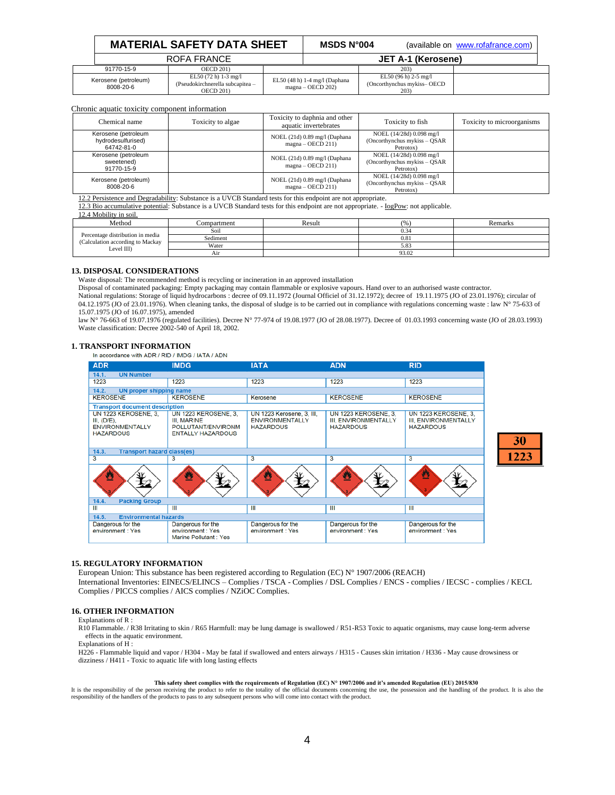| <b>MATERIAL SAFETY DATA SHEET</b> |                                                                                | MSDS $N^{\circ}004$ |                                                      | (available on www.rofafrance.com)                           |  |  |
|-----------------------------------|--------------------------------------------------------------------------------|---------------------|------------------------------------------------------|-------------------------------------------------------------|--|--|
|                                   | ROFA FRANCE                                                                    |                     |                                                      | JET A-1 (Kerosene)                                          |  |  |
| 91770-15-9                        | <b>OECD 201)</b>                                                               |                     |                                                      | 203)                                                        |  |  |
| Kerosene (petroleum)<br>8008-20-6 | EL50 $(72 h)$ 1-3 mg/l<br>(Pseudokirchnerella subcapitea -<br><b>OECD 201)</b> |                     | EL50 (48 h) 1-4 mg/l (Daphana<br>$magna - OECD$ 202) | EL50 (96 h) 2-5 mg/l<br>(Oncorthynchus mykiss-OECD)<br>203) |  |  |

# Chronic aquatic toxicity component information

| Chemical name                                           | Toxicity to algae | Toxicity to daphnia and other<br>aquatic invertebrates | Toxicity to fish                                                       | Toxicity to microorganisms |
|---------------------------------------------------------|-------------------|--------------------------------------------------------|------------------------------------------------------------------------|----------------------------|
| Kerosene (petroleum<br>hydrodesulfurised)<br>64742-81-0 |                   | NOEL (21d) 0.89 mg/l (Daphana<br>$magna - OECD$ 211)   | NOEL (14/28d) 0.098 mg/l<br>(Oncorthynchus mykiss – QSAR)<br>Petrotox) |                            |
| Kerosene (petroleum<br>sweetened)<br>91770-15-9         |                   | NOEL (21d) 0.89 mg/l (Daphana<br>$magna - OECD$ 211)   | NOEL (14/28d) 0.098 mg/l<br>(Oncorthynchus mykiss – QSAR)<br>Petrotox) |                            |
| Kerosene (petroleum)<br>8008-20-6                       |                   | NOEL (21d) 0.89 mg/l (Daphana<br>$magna - OECD$ 211)   | NOEL (14/28d) 0.098 mg/l<br>(Oncorthynchus mykiss – QSAR)<br>Petrotox) |                            |

2 Persistence and Degradability: Substance is a UVCB Standard tests for this endpoint are not appropriate.

12.3 Bio accumulative potential: Substance is a UVCB Standard tests for this endpoint are not appropriate. - IogPow: not applicable.

12.4 Mobility in soil.

| Method                                                                              | Compartment | Result | (0/0) | Remarks |
|-------------------------------------------------------------------------------------|-------------|--------|-------|---------|
| Percentage distribution in media<br>(Calculation according to Mackay)<br>Level III) | Soil        |        | 0.34  |         |
|                                                                                     | Sediment    |        | 0.81  |         |
|                                                                                     | Water       |        | 5.83  |         |
|                                                                                     | Air         |        | 93.02 |         |

# **13. DISPOSAL CONSIDERATIONS**

Waste disposal: The recommended method is recycling or incineration in an approved installation

Disposal of contaminated packaging: Empty packaging may contain flammable or explosive vapours. Hand over to an authorised waste contractor.

National regulations: Storage of liquid hydrocarbons : decree of 09.11.1972 (Journal Officiel of 31.12.1972); decree of 19.11.1975 (JO of 23.01.1976); circular of 04.12.1975 (JO of 23.01.1976). When cleaning tanks, the disposal of sludge is to be carried out in compliance with regulations concerning waste : law  $N^{\circ}$  75-633 of 15.07.1975 (JO of 16.07.1975), amended

law N° 76-663 of 19.07.1976 (regulated facilities). Decree N° 77-974 of 19.08.1977 (JO of 28.08.1977). Decree of 01.03.1993 concerning waste (JO of 28.03.1993) Waste classification: Decree 2002-540 of April 18, 2002.

**1. TRANSPORT INFORMATION**<br>In accordance with ADR / RID / IMDG / IATA / ADN

| <b>ADR</b>                                                                               | <b>IMDG</b>                                                                                  | <b>IATA</b>                                                             | <b>ADN</b>                                                                     | <b>RID</b>                                                              |  |  |
|------------------------------------------------------------------------------------------|----------------------------------------------------------------------------------------------|-------------------------------------------------------------------------|--------------------------------------------------------------------------------|-------------------------------------------------------------------------|--|--|
| 14.1.<br><b>UN Number</b>                                                                |                                                                                              |                                                                         |                                                                                |                                                                         |  |  |
| 1223                                                                                     | 1223                                                                                         | 1223                                                                    | 1223                                                                           | 1223                                                                    |  |  |
| 14.2.<br><b>UN proper shipping name</b>                                                  |                                                                                              |                                                                         |                                                                                |                                                                         |  |  |
| <b>KEROSENE</b>                                                                          | <b>KEROSENE</b>                                                                              | Kerosene                                                                | <b>KEROSENE</b>                                                                | <b>KEROSENE</b>                                                         |  |  |
| <b>Transport document description</b>                                                    |                                                                                              |                                                                         |                                                                                |                                                                         |  |  |
| <b>UN 1223 KEROSENE, 3,</b><br>III, (D/E),<br><b>ENVIRONMENTALLY</b><br><b>HAZARDOUS</b> | <b>UN 1223 KEROSENE, 3.</b><br>III, MARINE<br>POLLUTANT/ENVIRONM<br><b>ENTALLY HAZARDOUS</b> | UN 1223 Kerosene, 3, III,<br><b>ENVIRONMENTALLY</b><br><b>HAZARDOUS</b> | <b>UN 1223 KEROSENE, 3.</b><br><b>III, ENVIRONMENTALLY</b><br><b>HAZARDOUS</b> | <b>UN 1223 KEROSENE, 3.</b><br>III, ENVIRONMENTALLY<br><b>HAZARDOUS</b> |  |  |
| <b>Transport hazard class(es)</b><br>14.3.                                               |                                                                                              |                                                                         |                                                                                |                                                                         |  |  |
| $\overline{\mathbf{3}}$                                                                  | з                                                                                            | 3                                                                       | 3                                                                              | 3                                                                       |  |  |
| ☑                                                                                        | Щ<br>☑                                                                                       | ₩<br>I⁄2                                                                | Ø                                                                              | 粵                                                                       |  |  |
| 14.4.<br><b>Packing Group</b>                                                            |                                                                                              |                                                                         |                                                                                |                                                                         |  |  |
| Ш                                                                                        | Ш                                                                                            | Ш                                                                       | Ш                                                                              | Ш                                                                       |  |  |
| 14.5.                                                                                    | <b>Environmental hazards</b>                                                                 |                                                                         |                                                                                |                                                                         |  |  |
| Dangerous for the<br>environment : Yes                                                   | Dangerous for the<br>environment : Yes<br>Marine Pollutant: Yes                              | Dangerous for the<br>environment : Yes                                  | Dangerous for the<br>environment : Yes                                         | Dangerous for the<br>environment : Yes                                  |  |  |

30 1223

# **15. REGULATORY INFORMATION**

European Union: This substance has been registered according to Regulation (EC) N° 1907/2006 (REACH) International Inventories: EINECS/ELINCS – Complies / TSCA - Complies / DSL Complies / ENCS - complies / IECSC - complies / KECL Complies / PICCS complies / AICS complies / NZiOC Complies.

# **16. OTHER INFORMATION**

#### Explanations of R :

R10 Flammable. / R38 Irritating to skin / R65 Harmfull: may be lung damage is swallowed / R51-R53 Toxic to aquatic organisms, may cause long-term adverse effects in the aquatic environment.

Explanations of H :

H226 - Flammable liquid and vapor / H304 - May be fatal if swallowed and enters airways / H315 - Causes skin irritation / H336 - May cause drowsiness or dizziness / H411 - Toxic to aquatic life with long lasting effects

# **This safety sheet complies with the requirements of Regulation (EC) N° 1907/2006 and it's amended Regulation (EU) 2015/830**

It is the responsibility of the person receiving the product to refer to the totality of the official documents concerning the use, the possession and the handling of the product. It is also the responsibility of the handl